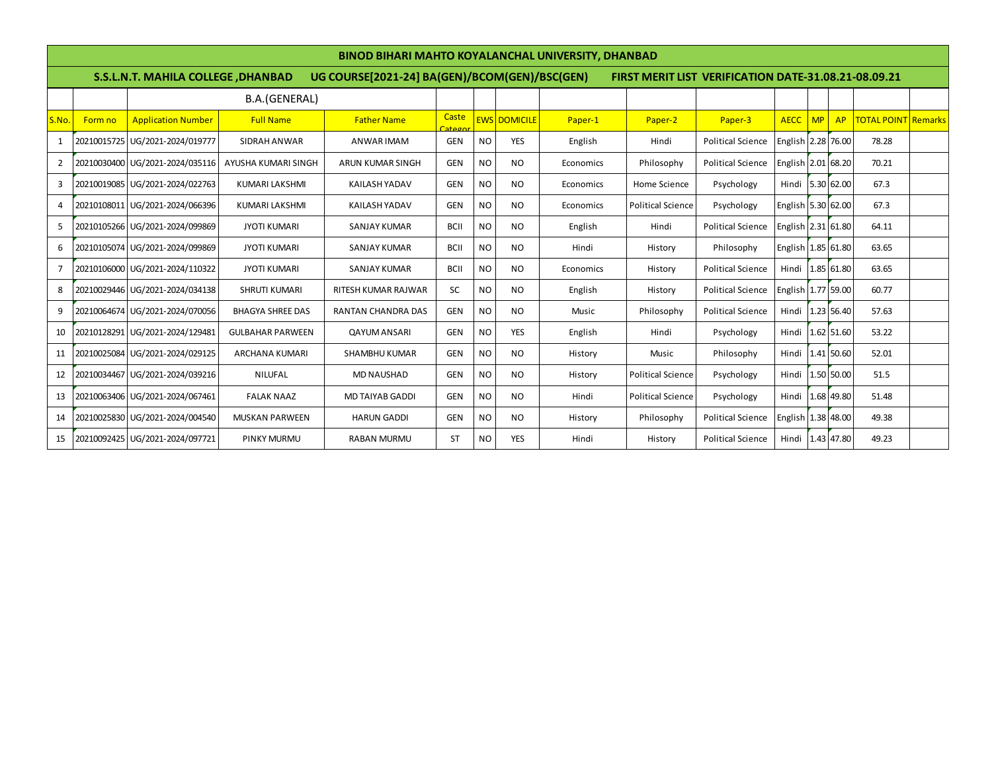|                | <b>BINOD BIHARI MAHTO KOYALANCHAL UNIVERSITY, DHANBAD</b> |                                     |                         |                                               |                                         |           |                     |           |                          |                                                             |                    |    |            |                            |  |
|----------------|-----------------------------------------------------------|-------------------------------------|-------------------------|-----------------------------------------------|-----------------------------------------|-----------|---------------------|-----------|--------------------------|-------------------------------------------------------------|--------------------|----|------------|----------------------------|--|
|                |                                                           | S.S.L.N.T. MAHILA COLLEGE , DHANBAD |                         | UG COURSE[2021-24] BA(GEN)/BCOM(GEN)/BSC(GEN) |                                         |           |                     |           |                          | <b>FIRST MERIT LIST VERIFICATION DATE-31.08.21-08.09.21</b> |                    |    |            |                            |  |
|                |                                                           | B.A.(GENERAL)                       |                         |                                               |                                         |           |                     |           |                          |                                                             |                    |    |            |                            |  |
| S.No.          | Form no                                                   | <b>Application Number</b>           | <b>Full Name</b>        | <b>Father Name</b>                            | Caste<br>$\overline{\phantom{a}}$ atego |           | <b>EWS DOMICILE</b> | Paper-1   | Paper-2                  | Paper-3                                                     | <b>AECC</b>        | MP | AP         | <b>TOTAL POINT Remarks</b> |  |
| 1              |                                                           | 20210015725 UG/2021-2024/019777     | SIDRAH ANWAR            | ANWAR IMAM                                    | GEN                                     | <b>NO</b> | <b>YES</b>          | English   | Hindi                    | <b>Political Science</b>                                    | English 2.28 76.00 |    |            | 78.28                      |  |
| $\overline{2}$ |                                                           | 20210030400 UG/2021-2024/035116     | AYUSHA KUMARI SINGH     | ARUN KUMAR SINGH                              | <b>GEN</b>                              | <b>NO</b> | <b>NO</b>           | Economics | Philosophy               | <b>Political Science</b>                                    | English 2.01 68.20 |    |            | 70.21                      |  |
| 3              |                                                           | 20210019085 UG/2021-2024/022763     | <b>KUMARI LAKSHMI</b>   | <b>KAILASH YADAV</b>                          | GEN                                     | <b>NO</b> | NO.                 | Economics | Home Science             | Psychology                                                  | Hindi 5.30 62.00   |    |            | 67.3                       |  |
| $\overline{4}$ | 20210108011                                               | UG/2021-2024/066396                 | <b>KUMARI LAKSHMI</b>   | <b>KAILASH YADAV</b>                          | GEN                                     | <b>NO</b> | NO.                 | Economics | <b>Political Science</b> | Psychology                                                  | English 5.30 62.00 |    |            | 67.3                       |  |
| 5              |                                                           | 20210105266 UG/2021-2024/099869     | <b>JYOTI KUMARI</b>     | <b>SANJAY KUMAR</b>                           | <b>BCII</b>                             | <b>NO</b> | NO.                 | English   | Hindi                    | <b>Political Science</b>                                    | English 2.31 61.80 |    |            | 64.11                      |  |
| 6              |                                                           | 20210105074 UG/2021-2024/099869     | <b>JYOTI KUMARI</b>     | <b>SANJAY KUMAR</b>                           | <b>BCII</b>                             | <b>NO</b> | <b>NO</b>           | Hindi     | History                  | Philosophy                                                  | English 1.85 61.80 |    |            | 63.65                      |  |
| 7              |                                                           | 20210106000 UG/2021-2024/110322     | <b>JYOTI KUMARI</b>     | <b>SANJAY KUMAR</b>                           | <b>BCII</b>                             | <b>NO</b> | <b>NO</b>           | Economics | History                  | <b>Political Science</b>                                    | Hindi 1.85 61.80   |    |            | 63.65                      |  |
| 8              |                                                           | 20210029446 UG/2021-2024/034138     | <b>SHRUTI KUMARI</b>    | <b>RITESH KUMAR RAJWAR</b>                    | SC                                      | <b>NO</b> | NO.                 | English   | History                  | <b>Political Science</b>                                    | English 1.77 59.00 |    |            | 60.77                      |  |
| 9              |                                                           | 20210064674 UG/2021-2024/070056     | <b>BHAGYA SHREE DAS</b> | <b>RANTAN CHANDRA DAS</b>                     | <b>GEN</b>                              | <b>NO</b> | NO.                 | Music     | Philosophy               | <b>Political Science</b>                                    | Hindi 1.23 56.40   |    |            | 57.63                      |  |
| 10             | 20210128291                                               | UG/2021-2024/129481                 | <b>GULBAHAR PARWEEN</b> | <b>QAYUM ANSARI</b>                           | <b>GEN</b>                              | <b>NO</b> | <b>YES</b>          | English   | Hindi                    | Psychology                                                  | Hindi              |    | 1.62 51.60 | 53.22                      |  |
| 11             | 20210025084                                               | UG/2021-2024/029125                 | ARCHANA KUMARI          | <b>SHAMBHU KUMAR</b>                          | <b>GEN</b>                              | <b>NO</b> | NO.                 | History   | Music                    | Philosophy                                                  | Hindi              |    | 1.41 50.60 | 52.01                      |  |
| 12             | 20210034467                                               | UG/2021-2024/039216                 | <b>NILUFAL</b>          | <b>MD NAUSHAD</b>                             | GEN                                     | <b>NO</b> | <b>NO</b>           | History   | <b>Political Science</b> | Psychology                                                  | Hindi              |    | 1.50 50.00 | 51.5                       |  |
| 13             |                                                           | 20210063406 UG/2021-2024/067461     | <b>FALAK NAAZ</b>       | <b>MD TAIYAB GADDI</b>                        | <b>GEN</b>                              | <b>NO</b> | <b>NO</b>           | Hindi     | <b>Political Science</b> | Psychology                                                  | Hindi              |    | 1.68 49.80 | 51.48                      |  |
| 14             |                                                           | 20210025830 UG/2021-2024/004540     | <b>MUSKAN PARWEEN</b>   | <b>HARUN GADDI</b>                            | GEN                                     | <b>NO</b> | <b>NO</b>           | History   | Philosophy               | <b>Political Science</b>                                    | English 1.38 48.00 |    |            | 49.38                      |  |
| 15             |                                                           | 20210092425 UG/2021-2024/097721     | PINKY MURMU             | <b>RABAN MURMU</b>                            | ST                                      | <b>NO</b> | <b>YES</b>          | Hindi     | History                  | <b>Political Science</b>                                    | Hindi 1.43 47.80   |    |            | 49.23                      |  |
|                |                                                           |                                     |                         |                                               |                                         |           |                     |           |                          |                                                             |                    |    |            |                            |  |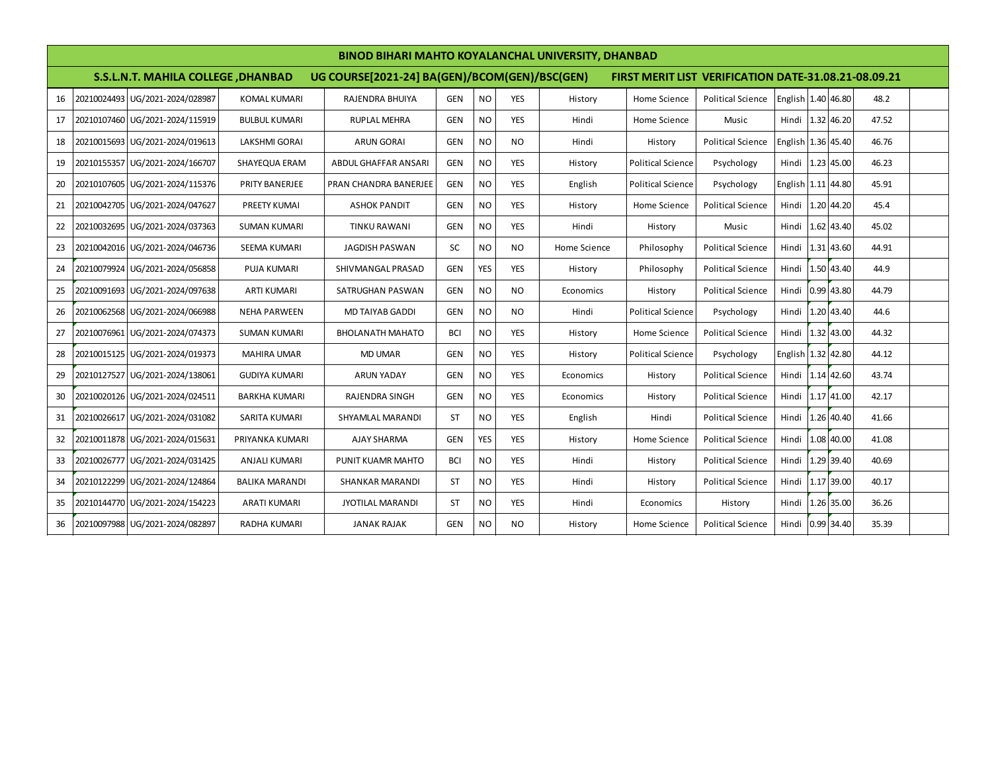|    | <b>BINOD BIHARI MAHTO KOYALANCHAL UNIVERSITY, DHANBAD</b>                                                                                    |                                 |                       |                         |            |            |            |              |                          |                          |                    |  |            |       |
|----|----------------------------------------------------------------------------------------------------------------------------------------------|---------------------------------|-----------------------|-------------------------|------------|------------|------------|--------------|--------------------------|--------------------------|--------------------|--|------------|-------|
|    | S.S.L.N.T. MAHILA COLLEGE , DHANBAD<br>UG COURSE[2021-24] BA(GEN)/BCOM(GEN)/BSC(GEN)<br>FIRST MERIT LIST VERIFICATION DATE-31.08.21-08.09.21 |                                 |                       |                         |            |            |            |              |                          |                          |                    |  |            |       |
| 16 |                                                                                                                                              | 20210024493 UG/2021-2024/028987 | <b>KOMAL KUMARI</b>   | RAJENDRA BHUIYA         | <b>GEN</b> | <b>NO</b>  | <b>YES</b> | History      | Home Science             | <b>Political Science</b> | English 1.40 46.80 |  |            | 48.2  |
| 17 |                                                                                                                                              | 20210107460 UG/2021-2024/115919 | <b>BULBUL KUMARI</b>  | <b>RUPLAL MEHRA</b>     | <b>GEN</b> | <b>NO</b>  | <b>YES</b> | Hindi        | Home Science             | Music                    | Hindi 1.32 46.20   |  |            | 47.52 |
| 18 |                                                                                                                                              | 20210015693 UG/2021-2024/019613 | LAKSHMI GORAI         | <b>ARUN GORAI</b>       | <b>GEN</b> | <b>NO</b>  | <b>NO</b>  | Hindi        | History                  | <b>Political Science</b> | English 1.36 45.40 |  |            | 46.76 |
| 19 |                                                                                                                                              | 20210155357 UG/2021-2024/166707 | SHAYEQUA ERAM         | ABDUL GHAFFAR ANSARI    | <b>GEN</b> | <b>NO</b>  | <b>YES</b> | History      | <b>Political Science</b> | Psychology               | Hindi 1.23 45.00   |  |            | 46.23 |
| 20 | 20210107605                                                                                                                                  | UG/2021-2024/115376             | PRITY BANERJEE        | PRAN CHANDRA BANERJEE   | <b>GEN</b> | <b>NO</b>  | <b>YES</b> | English      | <b>Political Science</b> | Psychology               | English 1.11 44.80 |  |            | 45.91 |
| 21 |                                                                                                                                              | 20210042705 UG/2021-2024/047627 | PREETY KUMAI          | <b>ASHOK PANDIT</b>     | <b>GEN</b> | <b>NO</b>  | <b>YES</b> | History      | Home Science             | <b>Political Science</b> | Hindi 1.20 44.20   |  |            | 45.4  |
| 22 | 20210032695                                                                                                                                  | UG/2021-2024/037363             | <b>SUMAN KUMARI</b>   | <b>TINKU RAWANI</b>     | <b>GEN</b> | <b>NO</b>  | <b>YES</b> | Hindi        | History                  | Music                    | Hindi 1.62 43.40   |  |            | 45.02 |
| 23 |                                                                                                                                              | 20210042016 UG/2021-2024/046736 | SEEMA KUMARI          | <b>JAGDISH PASWAN</b>   | SC         | <b>NO</b>  | <b>NO</b>  | Home Science | Philosophy               | <b>Political Science</b> | Hindi 1.31 43.60   |  |            | 44.91 |
| 24 |                                                                                                                                              | 20210079924 UG/2021-2024/056858 | <b>PUJA KUMARI</b>    | SHIVMANGAL PRASAD       | <b>GEN</b> | <b>YES</b> | <b>YES</b> | History      | Philosophy               | <b>Political Science</b> | Hindi 1.50 43.40   |  |            | 44.9  |
| 25 |                                                                                                                                              | 20210091693 UG/2021-2024/097638 | <b>ARTI KUMARI</b>    | SATRUGHAN PASWAN        | <b>GEN</b> | <b>NO</b>  | <b>NO</b>  | Economics    | History                  | <b>Political Science</b> | Hindi 0.99 43.80   |  |            | 44.79 |
| 26 |                                                                                                                                              | 20210062568 UG/2021-2024/066988 | <b>NEHA PARWEEN</b>   | <b>MD TAIYAB GADDI</b>  | <b>GEN</b> | <b>NO</b>  | <b>NO</b>  | Hindi        | <b>Political Science</b> | Psychology               | Hindi 1.20 43.40   |  |            | 44.6  |
| 27 | 20210076961                                                                                                                                  | UG/2021-2024/074373             | <b>SUMAN KUMARI</b>   | <b>BHOLANATH MAHATO</b> | <b>BCI</b> | <b>NO</b>  | <b>YES</b> | History      | Home Science             | <b>Political Science</b> | Hindi              |  | 1.32 43.00 | 44.32 |
| 28 |                                                                                                                                              | 20210015125 UG/2021-2024/019373 | <b>MAHIRA UMAR</b>    | <b>MD UMAR</b>          | <b>GEN</b> | <b>NO</b>  | <b>YES</b> | History      | <b>Political Science</b> | Psychology               | English 1.32 42.80 |  |            | 44.12 |
| 29 |                                                                                                                                              | 20210127527 UG/2021-2024/138061 | <b>GUDIYA KUMARI</b>  | <b>ARUN YADAY</b>       | <b>GEN</b> | <b>NO</b>  | <b>YES</b> | Economics    | History                  | <b>Political Science</b> | Hindi 1.14 42.60   |  |            | 43.74 |
| 30 |                                                                                                                                              | 20210020126 UG/2021-2024/024511 | <b>BARKHA KUMARI</b>  | <b>RAJENDRA SINGH</b>   | <b>GEN</b> | <b>NO</b>  | <b>YES</b> | Economics    | History                  | <b>Political Science</b> | Hindi 1.17 41.00   |  |            | 42.17 |
| 31 |                                                                                                                                              | 20210026617 UG/2021-2024/031082 | SARITA KUMARI         | SHYAMLAL MARANDI        | <b>ST</b>  | <b>NO</b>  | <b>YES</b> | English      | Hindi                    | <b>Political Science</b> | Hindi 1.26 40.40   |  |            | 41.66 |
| 32 |                                                                                                                                              | 20210011878 UG/2021-2024/015631 | PRIYANKA KUMARI       | <b>AJAY SHARMA</b>      | <b>GEN</b> | <b>YES</b> | <b>YES</b> | History      | Home Science             | <b>Political Science</b> | Hindi 1.08 40.00   |  |            | 41.08 |
| 33 |                                                                                                                                              | 20210026777 UG/2021-2024/031425 | <b>ANJALI KUMARI</b>  | PUNIT KUAMR MAHTO       | <b>BCI</b> | <b>NO</b>  | <b>YES</b> | Hindi        | History                  | <b>Political Science</b> | Hindi 1.29 39.40   |  |            | 40.69 |
| 34 | 20210122299                                                                                                                                  | UG/2021-2024/124864             | <b>BALIKA MARANDI</b> | SHANKAR MARANDI         | ST         | <b>NO</b>  | <b>YES</b> | Hindi        | History                  | <b>Political Science</b> | Hindi 1.17 39.00   |  |            | 40.17 |
| 35 |                                                                                                                                              | 20210144770 UG/2021-2024/154223 | <b>ARATI KUMARI</b>   | <b>JYOTILAL MARANDI</b> | ST         | <b>NO</b>  | <b>YES</b> | Hindi        | Economics                | History                  | Hindi 1.26 35.00   |  |            | 36.26 |
| 36 |                                                                                                                                              | 20210097988 UG/2021-2024/082897 | <b>RADHA KUMARI</b>   | <b>JANAK RAJAK</b>      | <b>GEN</b> | <b>NO</b>  | <b>NO</b>  | History      | Home Science             | <b>Political Science</b> | Hindi 0.99 34.40   |  |            | 35.39 |
|    |                                                                                                                                              |                                 |                       |                         |            |            |            |              |                          |                          |                    |  |            |       |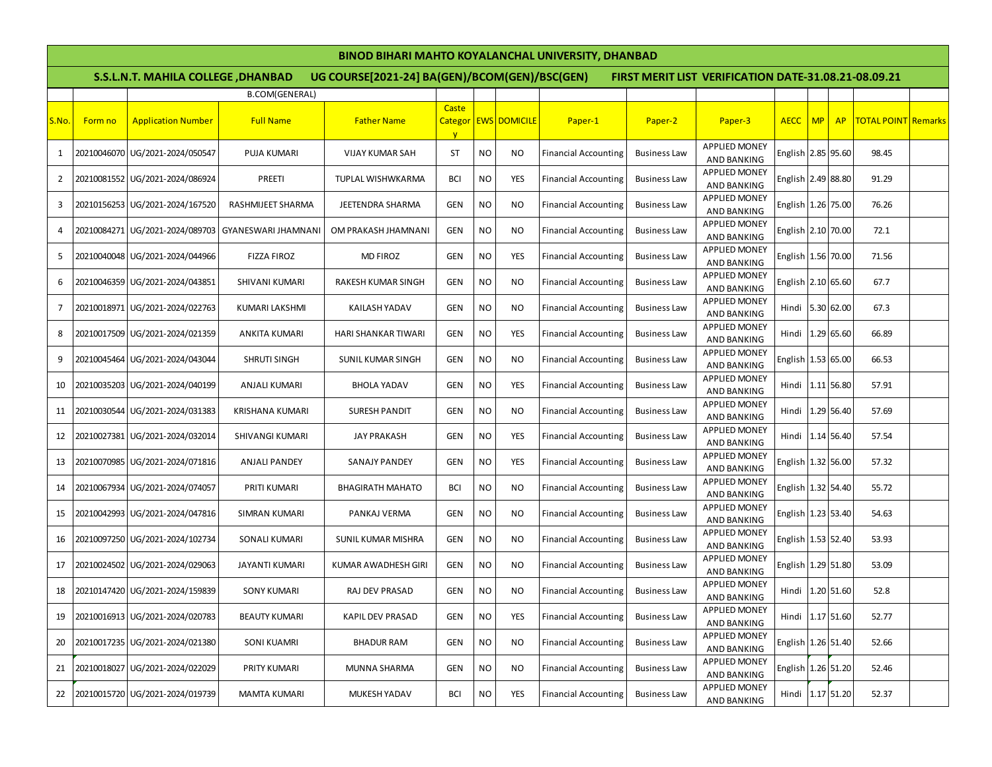## **BINOD BIHARI MAHTO KOYALANCHAL UNIVERSITY, DHANBAD**

|       | <b>BINOD BIHARI MAHTO KOYALANCHAL UNIVERSITY, DHANBAD</b>                                                                                    |                                 |                            |                           |                       |           |                      |                             |                     |                                            |                    |           |                  |                            |  |
|-------|----------------------------------------------------------------------------------------------------------------------------------------------|---------------------------------|----------------------------|---------------------------|-----------------------|-----------|----------------------|-----------------------------|---------------------|--------------------------------------------|--------------------|-----------|------------------|----------------------------|--|
|       | S.S.L.N.T. MAHILA COLLEGE , DHANBAD<br>UG COURSE[2021-24] BA(GEN)/BCOM(GEN)/BSC(GEN)<br>FIRST MERIT LIST VERIFICATION DATE-31.08.21-08.09.21 |                                 |                            |                           |                       |           |                      |                             |                     |                                            |                    |           |                  |                            |  |
|       |                                                                                                                                              |                                 | B.COM(GENERAL)             |                           |                       |           |                      |                             |                     |                                            |                    |           |                  |                            |  |
| S.No. | Form no                                                                                                                                      | <b>Application Number</b>       | <b>Full Name</b>           | <b>Father Name</b>        | Caste<br>$\mathbf{V}$ |           | Categor EWS DOMICILE | Paper-1                     | Paper-2             | Paper-3                                    | <b>AECC</b>        | <b>MP</b> | AP               | <b>TOTAL POINT Remarks</b> |  |
| 1     |                                                                                                                                              | 20210046070 UG/2021-2024/050547 | <b>PUJA KUMARI</b>         | <b>VIJAY KUMAR SAH</b>    | ST                    | <b>NO</b> | NO.                  | <b>Financial Accounting</b> | <b>Business Law</b> | <b>APPLIED MONEY</b><br><b>AND BANKING</b> | English 2.85 95.60 |           |                  | 98.45                      |  |
| 2     |                                                                                                                                              | 20210081552 UG/2021-2024/086924 | PREETI                     | TUPLAL WISHWKARMA         | BCI                   | <b>NO</b> | <b>YES</b>           | <b>Financial Accounting</b> | <b>Business Law</b> | <b>APPLIED MONEY</b><br>AND BANKING        | English 2.49 88.80 |           |                  | 91.29                      |  |
| 3     |                                                                                                                                              | 20210156253 UG/2021-2024/167520 | RASHMIJEET SHARMA          | JEETENDRA SHARMA          | <b>GEN</b>            | <b>NO</b> | NO.                  | <b>Financial Accounting</b> | <b>Business Law</b> | <b>APPLIED MONEY</b><br><b>AND BANKING</b> | English 1.26 75.00 |           |                  | 76.26                      |  |
| 4     |                                                                                                                                              | 20210084271 UG/2021-2024/089703 | <b>GYANESWARI JHAMNANI</b> | OM PRAKASH JHAMNANI       | <b>GEN</b>            | <b>NO</b> | <b>NO</b>            | <b>Financial Accounting</b> | <b>Business Law</b> | <b>APPLIED MONEY</b><br><b>AND BANKING</b> | English 2.10 70.00 |           |                  | 72.1                       |  |
| 5     |                                                                                                                                              | 20210040048 UG/2021-2024/044966 | FIZZA FIROZ                | <b>MD FIROZ</b>           | <b>GEN</b>            | <b>NO</b> | <b>YES</b>           | <b>Financial Accounting</b> | <b>Business Law</b> | <b>APPLIED MONEY</b><br><b>AND BANKING</b> | English 1.56 70.00 |           |                  | 71.56                      |  |
| 6     |                                                                                                                                              | 20210046359 UG/2021-2024/043851 | SHIVANI KUMARI             | RAKESH KUMAR SINGH        | <b>GEN</b>            | <b>NO</b> | NO.                  | <b>Financial Accounting</b> | <b>Business Law</b> | APPLIED MONEY<br><b>AND BANKING</b>        | English 2.10 65.60 |           |                  | 67.7                       |  |
| 7     |                                                                                                                                              | 20210018971 UG/2021-2024/022763 | <b>KUMARI LAKSHMI</b>      | <b>KAILASH YADAV</b>      | <b>GEN</b>            | <b>NO</b> | NO.                  | <b>Financial Accounting</b> | <b>Business Law</b> | <b>APPLIED MONEY</b><br>AND BANKING        | Hindi 5.30 62.00   |           |                  | 67.3                       |  |
| 8     |                                                                                                                                              | 20210017509 UG/2021-2024/021359 | <b>ANKITA KUMARI</b>       | HARI SHANKAR TIWARI       | <b>GEN</b>            | <b>NO</b> | <b>YES</b>           | <b>Financial Accounting</b> | <b>Business Law</b> | <b>APPLIED MONEY</b><br>AND BANKING        | Hindi              |           | 1.29 65.60       | 66.89                      |  |
| 9     |                                                                                                                                              | 20210045464 UG/2021-2024/043044 | SHRUTI SINGH               | SUNIL KUMAR SINGH         | <b>GEN</b>            | <b>NO</b> | NO.                  | <b>Financial Accounting</b> | <b>Business Law</b> | <b>APPLIED MONEY</b><br><b>AND BANKING</b> | English 1.53 65.00 |           |                  | 66.53                      |  |
| 10    |                                                                                                                                              | 20210035203 UG/2021-2024/040199 | <b>ANJALI KUMARI</b>       | <b>BHOLA YADAV</b>        | <b>GEN</b>            | <b>NO</b> | <b>YES</b>           | <b>Financial Accounting</b> | <b>Business Law</b> | <b>APPLIED MONEY</b><br><b>AND BANKING</b> | Hindi              |           | 1.11 56.80       | 57.91                      |  |
| 11    |                                                                                                                                              | 20210030544 UG/2021-2024/031383 | <b>KRISHANA KUMARI</b>     | <b>SURESH PANDIT</b>      | <b>GEN</b>            | <b>NO</b> | NO.                  | <b>Financial Accounting</b> | <b>Business Law</b> | <b>APPLIED MONEY</b><br><b>AND BANKING</b> | Hindi              |           | 1.29 56.40       | 57.69                      |  |
| 12    |                                                                                                                                              | 20210027381 UG/2021-2024/032014 | SHIVANGI KUMARI            | <b>JAY PRAKASH</b>        | <b>GEN</b>            | <b>NO</b> | <b>YES</b>           | <b>Financial Accounting</b> | <b>Business Law</b> | <b>APPLIED MONEY</b><br><b>AND BANKING</b> |                    |           | Hindi 1.14 56.40 | 57.54                      |  |
| 13    |                                                                                                                                              | 20210070985 UG/2021-2024/071816 | <b>ANJALI PANDEY</b>       | SANAJY PANDEY             | <b>GEN</b>            | <b>NO</b> | <b>YES</b>           | <b>Financial Accounting</b> | <b>Business Law</b> | APPLIED MONEY<br><b>AND BANKING</b>        | English 1.32 56.00 |           |                  | 57.32                      |  |
| 14    |                                                                                                                                              | 20210067934 UG/2021-2024/074057 | <b>PRITI KUMARI</b>        | <b>BHAGIRATH MAHATO</b>   | <b>BCI</b>            | <b>NO</b> | NO.                  | <b>Financial Accounting</b> | <b>Business Law</b> | <b>APPLIED MONEY</b><br>AND BANKING        | English 1.32 54.40 |           |                  | 55.72                      |  |
| 15    |                                                                                                                                              | 20210042993 UG/2021-2024/047816 | SIMRAN KUMARI              | PANKAJ VERMA              | GEN                   | <b>NO</b> | NO.                  | <b>Financial Accounting</b> | <b>Business Law</b> | <b>APPLIED MONEY</b><br><b>AND BANKING</b> | English 1.23 53.40 |           |                  | 54.63                      |  |
| 16    |                                                                                                                                              | 20210097250 UG/2021-2024/102734 | <b>SONALI KUMARI</b>       | <b>SUNIL KUMAR MISHRA</b> | <b>GEN</b>            | <b>NO</b> | NO.                  | <b>Financial Accounting</b> | <b>Business Law</b> | <b>APPLIED MONEY</b><br>AND BANKING        | English 1.53 52.40 |           |                  | 53.93                      |  |
| 17    |                                                                                                                                              | 20210024502 UG/2021-2024/029063 | <b>JAYANTI KUMARI</b>      | KUMAR AWADHESH GIRI       | <b>GEN</b>            | <b>NO</b> | NO.                  | <b>Financial Accounting</b> | <b>Business Law</b> | <b>APPLIED MONEY</b><br><b>AND BANKING</b> | English 1.29 51.80 |           |                  | 53.09                      |  |
| 18    |                                                                                                                                              | 20210147420 UG/2021-2024/159839 | <b>SONY KUMARI</b>         | RAJ DEV PRASAD            | GEN                   | <b>NO</b> | <b>NO</b>            | <b>Financial Accounting</b> | <b>Business Law</b> | <b>APPLIED MONEY</b><br>AND BANKING        | Hindi 1.20 51.60   |           |                  | 52.8                       |  |
| 19    |                                                                                                                                              | 20210016913 UG/2021-2024/020783 | <b>BEAUTY KUMARI</b>       | <b>KAPIL DEV PRASAD</b>   | GEN                   | <b>NO</b> | <b>YES</b>           | <b>Financial Accounting</b> | <b>Business Law</b> | <b>APPLIED MONEY</b><br>AND BANKING        | Hindi 1.17 51.60   |           |                  | 52.77                      |  |
| 20    |                                                                                                                                              | 20210017235 UG/2021-2024/021380 | <b>SONI KUAMRI</b>         | <b>BHADUR RAM</b>         | GEN                   | <b>NO</b> | NO.                  | <b>Financial Accounting</b> | <b>Business Law</b> | <b>APPLIED MONEY</b><br>AND BANKING        | English 1.26 51.40 |           |                  | 52.66                      |  |
| 21    |                                                                                                                                              | 20210018027 UG/2021-2024/022029 | PRITY KUMARI               | MUNNA SHARMA              | <b>GEN</b>            | <b>NO</b> | <b>NO</b>            | <b>Financial Accounting</b> | <b>Business Law</b> | <b>APPLIED MONEY</b><br>AND BANKING        | English 1.26 51.20 |           |                  | 52.46                      |  |
| 22    |                                                                                                                                              | 20210015720 UG/2021-2024/019739 | MAMTA KUMARI               | MUKESH YADAV              | <b>BCI</b>            | <b>NO</b> | YES                  | <b>Financial Accounting</b> | <b>Business Law</b> | <b>APPLIED MONEY</b><br>AND BANKING        | Hindi 1.17 51.20   |           |                  | 52.37                      |  |
|       |                                                                                                                                              |                                 |                            |                           |                       |           |                      |                             |                     |                                            |                    |           |                  |                            |  |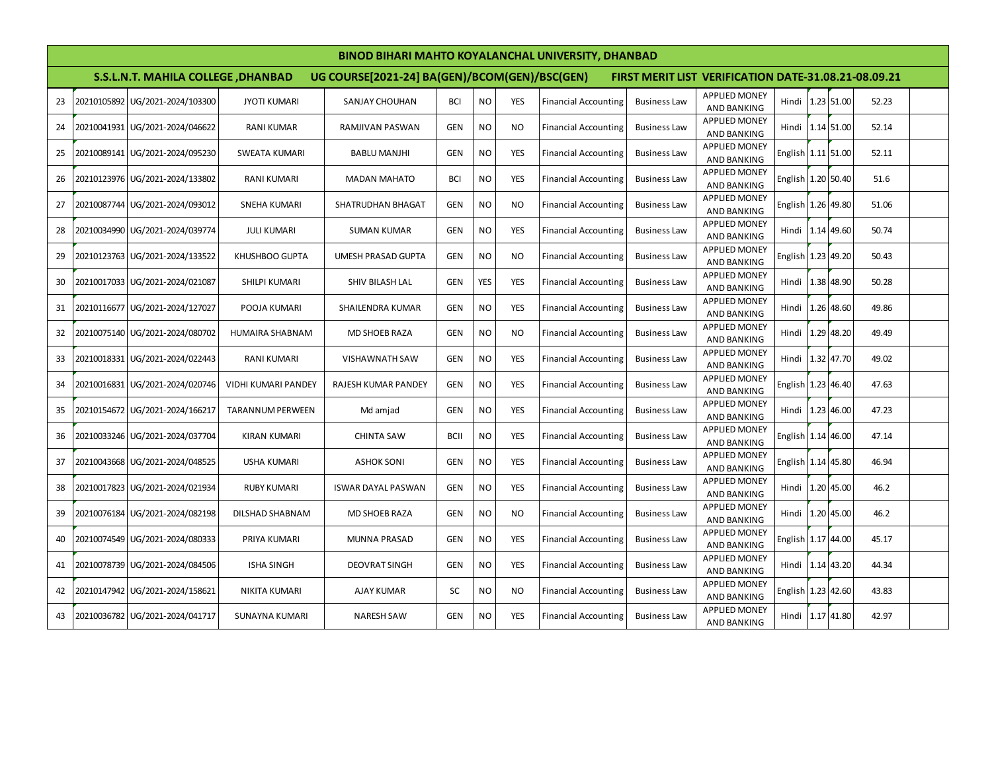|                                                                                                                                                     | <b>BINOD BIHARI MAHTO KOYALANCHAL UNIVERSITY, DHANBAD</b> |                                 |                         |                           |             |            |                |                             |                     |                                            |                    |  |            |       |  |
|-----------------------------------------------------------------------------------------------------------------------------------------------------|-----------------------------------------------------------|---------------------------------|-------------------------|---------------------------|-------------|------------|----------------|-----------------------------|---------------------|--------------------------------------------|--------------------|--|------------|-------|--|
| S.S.L.N.T. MAHILA COLLEGE , DHANBAD<br>UG COURSE[2021-24] BA(GEN)/BCOM(GEN)/BSC(GEN)<br><b>FIRST MERIT LIST VERIFICATION DATE-31.08.21-08.09.21</b> |                                                           |                                 |                         |                           |             |            |                |                             |                     |                                            |                    |  |            |       |  |
| 23                                                                                                                                                  | 20210105892                                               | UG/2021-2024/103300             | <b>JYOTI KUMARI</b>     | <b>SANJAY CHOUHAN</b>     | <b>BCI</b>  | <b>NO</b>  | <b>YES</b>     | <b>Financial Accounting</b> | <b>Business Law</b> | <b>APPLIED MONEY</b><br><b>AND BANKING</b> | Hindi              |  | 1.23 51.00 | 52.23 |  |
| 24                                                                                                                                                  | 20210041931                                               | UG/2021-2024/046622             | <b>RANI KUMAR</b>       | RAMJIVAN PASWAN           | <b>GEN</b>  | <b>NO</b>  | <b>NO</b>      | <b>Financial Accounting</b> | <b>Business Law</b> | <b>APPLIED MONEY</b><br>AND BANKING        | Hindi 1.14 51.00   |  |            | 52.14 |  |
| 25                                                                                                                                                  |                                                           | 20210089141 UG/2021-2024/095230 | <b>SWEATA KUMARI</b>    | <b>BABLU MANJHI</b>       | <b>GEN</b>  | <b>NO</b>  | <b>YES</b>     | <b>Financial Accounting</b> | <b>Business Law</b> | <b>APPLIED MONEY</b><br>AND BANKING        | English 1.11 51.00 |  |            | 52.11 |  |
| 26                                                                                                                                                  | 20210123976                                               | UG/2021-2024/133802             | <b>RANI KUMARI</b>      | <b>MADAN MAHATO</b>       | <b>BCI</b>  | <b>NO</b>  | <b>YES</b>     | <b>Financial Accounting</b> | <b>Business Law</b> | <b>APPLIED MONEY</b><br><b>AND BANKING</b> | English 1.20 50.40 |  |            | 51.6  |  |
| 27                                                                                                                                                  | 20210087744                                               | UG/2021-2024/093012             | <b>SNEHA KUMARI</b>     | <b>SHATRUDHAN BHAGAT</b>  | <b>GEN</b>  | <b>NO</b>  | <b>NO</b>      | <b>Financial Accounting</b> | <b>Business Law</b> | <b>APPLIED MONEY</b><br><b>AND BANKING</b> | English 1.26 49.80 |  |            | 51.06 |  |
| 28                                                                                                                                                  |                                                           | 20210034990 UG/2021-2024/039774 | <b>JULI KUMARI</b>      | <b>SUMAN KUMAR</b>        | GEN         | <b>NO</b>  | <b>YES</b>     | <b>Financial Accounting</b> | <b>Business Law</b> | <b>APPLIED MONEY</b><br>AND BANKING        | Hindi 1.14 49.60   |  |            | 50.74 |  |
| 29                                                                                                                                                  |                                                           | 20210123763 UG/2021-2024/133522 | KHUSHBOO GUPTA          | <b>UMESH PRASAD GUPTA</b> | <b>GEN</b>  | <b>NO</b>  | <b>NO</b>      | <b>Financial Accounting</b> | <b>Business Law</b> | <b>APPLIED MONEY</b><br>AND BANKING        | English 1.23 49.20 |  |            | 50.43 |  |
| 30                                                                                                                                                  |                                                           | 20210017033 UG/2021-2024/021087 | SHILPI KUMARI           | SHIV BILASH LAL           | <b>GEN</b>  | <b>YES</b> | <b>YES</b>     | <b>Financial Accounting</b> | <b>Business Law</b> | <b>APPLIED MONEY</b><br>AND BANKING        | Hindi 1.38 48.90   |  |            | 50.28 |  |
| 31                                                                                                                                                  | 20210116677                                               | UG/2021-2024/127027             | POOJA KUMARI            | SHAILENDRA KUMAR          | <b>GEN</b>  | <b>NO</b>  | <b>YES</b>     | <b>Financial Accounting</b> | <b>Business Law</b> | <b>APPLIED MONEY</b><br>AND BANKING        | Hindi 1.26 48.60   |  |            | 49.86 |  |
| 32                                                                                                                                                  |                                                           | 20210075140 UG/2021-2024/080702 | HUMAIRA SHABNAM         | <b>MD SHOEB RAZA</b>      | GEN         | <b>NO</b>  | N <sub>O</sub> | <b>Financial Accounting</b> | <b>Business Law</b> | <b>APPLIED MONEY</b><br><b>AND BANKING</b> | Hindi 1.29 48.20   |  |            | 49.49 |  |
| 33                                                                                                                                                  |                                                           | 20210018331 UG/2021-2024/022443 | <b>RANI KUMARI</b>      | <b>VISHAWNATH SAW</b>     | <b>GEN</b>  | <b>NO</b>  | <b>YES</b>     | <b>Financial Accounting</b> | <b>Business Law</b> | <b>APPLIED MONEY</b><br>AND BANKING        | Hindi 1.32 47.70   |  |            | 49.02 |  |
| 34                                                                                                                                                  |                                                           | 20210016831 UG/2021-2024/020746 | VIDHI KUMARI PANDEY     | RAJESH KUMAR PANDEY       | <b>GEN</b>  | <b>NO</b>  | <b>YES</b>     | <b>Financial Accounting</b> | <b>Business Law</b> | <b>APPLIED MONEY</b><br>AND BANKING        | English 1.23 46.40 |  |            | 47.63 |  |
| 35                                                                                                                                                  |                                                           | 20210154672 UG/2021-2024/166217 | <b>TARANNUM PERWEEN</b> | Md amjad                  | GEN         | <b>NO</b>  | <b>YES</b>     | <b>Financial Accounting</b> | <b>Business Law</b> | <b>APPLIED MONEY</b><br>AND BANKING        | Hindi 1.23 46.00   |  |            | 47.23 |  |
| 36                                                                                                                                                  |                                                           | 20210033246 UG/2021-2024/037704 | <b>KIRAN KUMARI</b>     | <b>CHINTA SAW</b>         | <b>BCII</b> | <b>NO</b>  | <b>YES</b>     | <b>Financial Accounting</b> | <b>Business Law</b> | <b>APPLIED MONEY</b><br>AND BANKING        | English 1.14 46.00 |  |            | 47.14 |  |
| 37                                                                                                                                                  |                                                           | 20210043668 UG/2021-2024/048525 | <b>USHA KUMARI</b>      | <b>ASHOK SONI</b>         | <b>GEN</b>  | <b>NO</b>  | <b>YES</b>     | <b>Financial Accounting</b> | <b>Business Law</b> | <b>APPLIED MONEY</b><br>AND BANKING        | English 1.14 45.80 |  |            | 46.94 |  |
| 38                                                                                                                                                  |                                                           | 20210017823 UG/2021-2024/021934 | <b>RUBY KUMARI</b>      | <b>ISWAR DAYAL PASWAN</b> | <b>GEN</b>  | <b>NO</b>  | <b>YES</b>     | <b>Financial Accounting</b> | <b>Business Law</b> | <b>APPLIED MONEY</b><br>AND BANKING        | Hindi              |  | 1.20 45.00 | 46.2  |  |
| 39                                                                                                                                                  | 20210076184                                               | UG/2021-2024/082198             | DILSHAD SHABNAM         | <b>MD SHOEB RAZA</b>      | <b>GEN</b>  | <b>NO</b>  | <b>NO</b>      | <b>Financial Accounting</b> | <b>Business Law</b> | <b>APPLIED MONEY</b><br>AND BANKING        | Hindi              |  | 1.20 45.00 | 46.2  |  |
| 40                                                                                                                                                  | 20210074549                                               | UG/2021-2024/080333             | PRIYA KUMARI            | <b>MUNNA PRASAD</b>       | <b>GEN</b>  | <b>NO</b>  | <b>YES</b>     | <b>Financial Accounting</b> | <b>Business Law</b> | <b>APPLIED MONEY</b><br>AND BANKING        | English 1.17 44.00 |  |            | 45.17 |  |
| 41                                                                                                                                                  | 20210078739                                               | UG/2021-2024/084506             | <b>ISHA SINGH</b>       | <b>DEOVRAT SINGH</b>      | <b>GEN</b>  | <b>NO</b>  | <b>YES</b>     | <b>Financial Accounting</b> | <b>Business Law</b> | <b>APPLIED MONEY</b><br>AND BANKING        | Hindi              |  | 1.14 43.20 | 44.34 |  |
| 42                                                                                                                                                  | 20210147942                                               | UG/2021-2024/158621             | NIKITA KUMARI           | AJAY KUMAR                | <b>SC</b>   | <b>NO</b>  | <b>NO</b>      | <b>Financial Accounting</b> | <b>Business Law</b> | <b>APPLIED MONEY</b><br>AND BANKING        | English 1.23 42.60 |  |            | 43.83 |  |
| 43                                                                                                                                                  |                                                           | 20210036782 UG/2021-2024/041717 | <b>SUNAYNA KUMARI</b>   | <b>NARESH SAW</b>         | <b>GEN</b>  | <b>NO</b>  | <b>YES</b>     | <b>Financial Accounting</b> | <b>Business Law</b> | <b>APPLIED MONEY</b><br><b>AND BANKING</b> | Hindi 1.17 41.80   |  |            | 42.97 |  |
|                                                                                                                                                     |                                                           |                                 |                         |                           |             |            |                |                             |                     |                                            |                    |  |            |       |  |